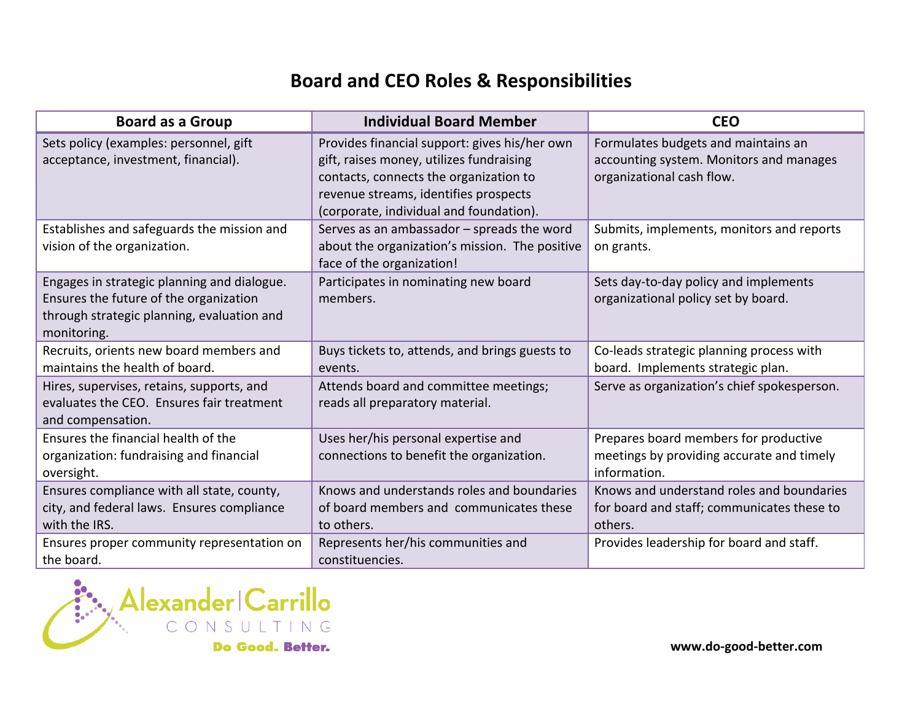## **Board/and/CEO/Roles/&/Responsibilities**

| <b>Board as a Group</b>                                                                                                                            | <b>Individual Board Member</b>                                                                                                                                                                                          | <b>CEO</b>                                                                                                  |
|----------------------------------------------------------------------------------------------------------------------------------------------------|-------------------------------------------------------------------------------------------------------------------------------------------------------------------------------------------------------------------------|-------------------------------------------------------------------------------------------------------------|
| Sets policy (examples: personnel, gift<br>acceptance, investment, financial).                                                                      | Provides financial support: gives his/her own<br>gift, raises money, utilizes fundraising<br>contacts, connects the organization to<br>revenue streams, identifies prospects<br>(corporate, individual and foundation). | Formulates budgets and maintains an<br>accounting system. Monitors and manages<br>organizational cash flow. |
| Establishes and safeguards the mission and<br>vision of the organization.                                                                          | Serves as an ambassador - spreads the word<br>about the organization's mission. The positive<br>face of the organization!                                                                                               | Submits, implements, monitors and reports<br>on grants.                                                     |
| Engages in strategic planning and dialogue.<br>Ensures the future of the organization<br>through strategic planning, evaluation and<br>monitoring. | Participates in nominating new board<br>members.                                                                                                                                                                        | Sets day-to-day policy and implements<br>organizational policy set by board.                                |
| Recruits, orients new board members and<br>maintains the health of board.                                                                          | Buys tickets to, attends, and brings guests to<br>events.                                                                                                                                                               | Co-leads strategic planning process with<br>board. Implements strategic plan.                               |
| Hires, supervises, retains, supports, and<br>evaluates the CEO. Ensures fair treatment<br>and compensation.                                        | Attends board and committee meetings;<br>reads all preparatory material.                                                                                                                                                | Serve as organization's chief spokesperson.                                                                 |
| Ensures the financial health of the<br>organization: fundraising and financial<br>oversight.                                                       | Uses her/his personal expertise and<br>connections to benefit the organization.                                                                                                                                         | Prepares board members for productive<br>meetings by providing accurate and timely<br>information.          |
| Ensures compliance with all state, county,<br>city, and federal laws. Ensures compliance<br>with the IRS.                                          | Knows and understands roles and boundaries<br>of board members and communicates these<br>to others.                                                                                                                     | Knows and understand roles and boundaries<br>for board and staff; communicates these to<br>others.          |
| Ensures proper community representation on<br>the board.                                                                                           | Represents her/his communities and<br>constituencies.                                                                                                                                                                   | Provides leadership for board and staff.                                                                    |

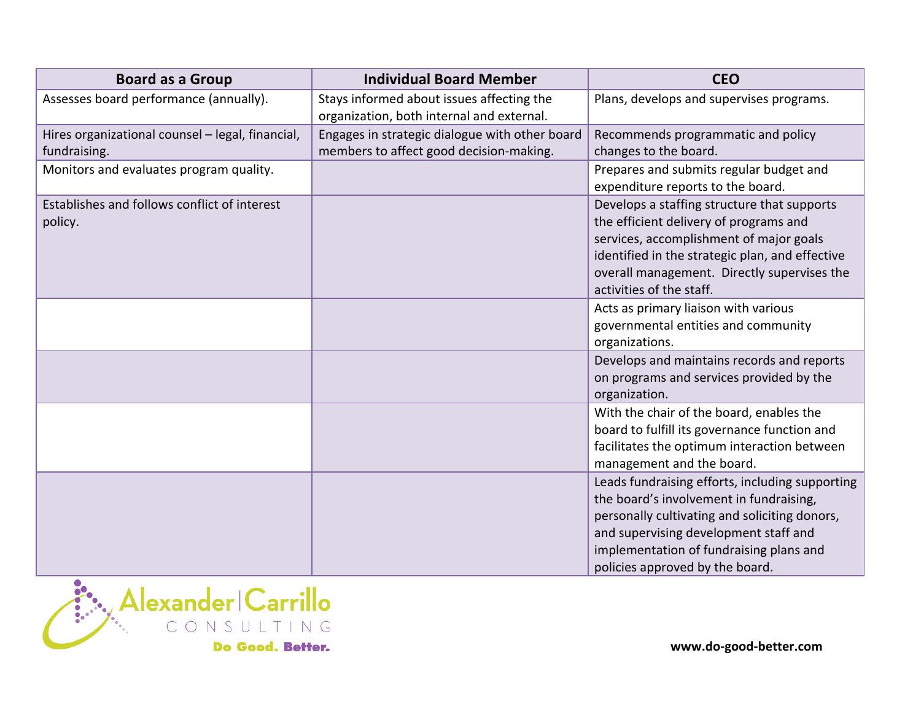| <b>Board as a Group</b>                                          | <b>Individual Board Member</b>                                                            | <b>CEO</b>                                                                                                                                                                                                                                                         |
|------------------------------------------------------------------|-------------------------------------------------------------------------------------------|--------------------------------------------------------------------------------------------------------------------------------------------------------------------------------------------------------------------------------------------------------------------|
| Assesses board performance (annually).                           | Stays informed about issues affecting the<br>organization, both internal and external.    | Plans, develops and supervises programs.                                                                                                                                                                                                                           |
| Hires organizational counsel - legal, financial,<br>fundraising. | Engages in strategic dialogue with other board<br>members to affect good decision-making. | Recommends programmatic and policy<br>changes to the board.                                                                                                                                                                                                        |
| Monitors and evaluates program quality.                          |                                                                                           | Prepares and submits regular budget and<br>expenditure reports to the board.                                                                                                                                                                                       |
| Establishes and follows conflict of interest<br>policy.          |                                                                                           | Develops a staffing structure that supports<br>the efficient delivery of programs and<br>services, accomplishment of major goals<br>identified in the strategic plan, and effective<br>overall management. Directly supervises the<br>activities of the staff.     |
|                                                                  |                                                                                           | Acts as primary liaison with various<br>governmental entities and community<br>organizations.                                                                                                                                                                      |
|                                                                  |                                                                                           | Develops and maintains records and reports<br>on programs and services provided by the<br>organization.                                                                                                                                                            |
|                                                                  |                                                                                           | With the chair of the board, enables the<br>board to fulfill its governance function and<br>facilitates the optimum interaction between<br>management and the board.                                                                                               |
|                                                                  |                                                                                           | Leads fundraising efforts, including supporting<br>the board's involvement in fundraising,<br>personally cultivating and soliciting donors,<br>and supervising development staff and<br>implementation of fundraising plans and<br>policies approved by the board. |